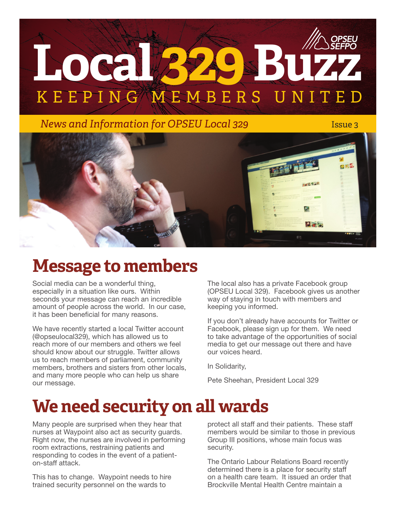# KEEPING MEMBERS UNITE Local **BYASBUZ**

*News and Information for OPSEU Local 329 Issue 3* 



## **Message to members**

Social media can be a wonderful thing, especially in a situation like ours. Within seconds your message can reach an incredible amount of people across the world. In our case, it has been beneficial for many reasons.

We have recently started a local Twitter account (@opseulocal329), which has allowed us to reach more of our members and others we feel should know about our struggle. Twitter allows us to reach members of parliament, community members, brothers and sisters from other locals, and many more people who can help us share our message.

The local also has a private Facebook group (OPSEU Local 329). Facebook gives us another way of staying in touch with members and keeping you informed.

If you don't already have accounts for Twitter or Facebook, please sign up for them. We need to take advantage of the opportunities of social media to get our message out there and have our voices heard.

In Solidarity,

Pete Sheehan, President Local 329

## **We need security on all wards**

Many people are surprised when they hear that nurses at Waypoint also act as security guards. Right now, the nurses are involved in performing room extractions, restraining patients and responding to codes in the event of a patienton-staff attack.

This has to change. Waypoint needs to hire trained security personnel on the wards to

protect all staff and their patients. These staff members would be similar to those in previous Group III positions, whose main focus was security.

The Ontario Labour Relations Board recently determined there is a place for security staff on a health care team. It issued an order that Brockville Mental Health Centre maintain a